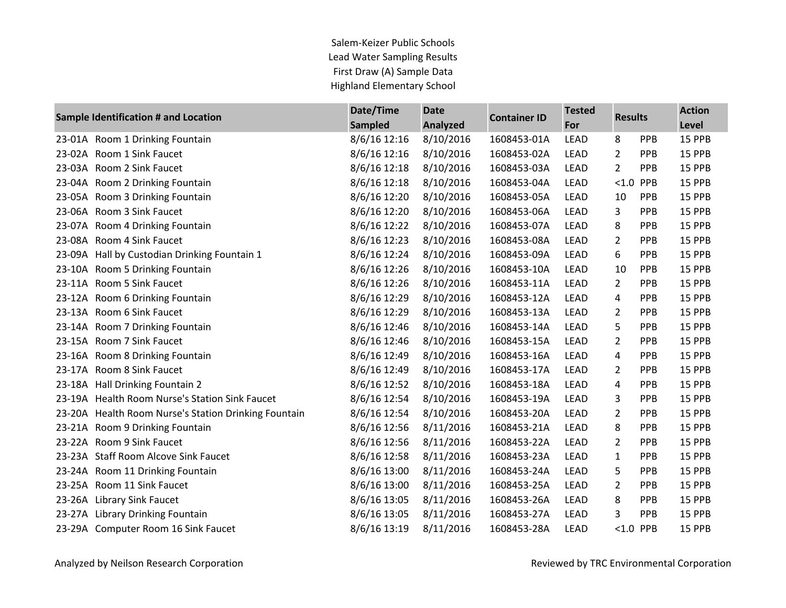Salem-Keizer Public Schools Lead Water Sampling Results First Draw (A) Sample Data Highland Elementary School

| <b>Sample Identification # and Location</b> |                                                      | Date/Time      | <b>Date</b>     | <b>Container ID</b> | <b>Tested</b> | <b>Results</b> |            | <b>Action</b> |
|---------------------------------------------|------------------------------------------------------|----------------|-----------------|---------------------|---------------|----------------|------------|---------------|
|                                             |                                                      | <b>Sampled</b> | <b>Analyzed</b> |                     | For           |                |            | Level         |
|                                             | 23-01A Room 1 Drinking Fountain                      | 8/6/16 12:16   | 8/10/2016       | 1608453-01A         | <b>LEAD</b>   | 8              | PPB        | 15 PPB        |
|                                             | 23-02A Room 1 Sink Faucet                            | 8/6/16 12:16   | 8/10/2016       | 1608453-02A         | LEAD          | $\overline{2}$ | PPB        | 15 PPB        |
|                                             | 23-03A Room 2 Sink Faucet                            | 8/6/16 12:18   | 8/10/2016       | 1608453-03A         | LEAD          | $\overline{2}$ | PPB        | 15 PPB        |
|                                             | 23-04A Room 2 Drinking Fountain                      | 8/6/16 12:18   | 8/10/2016       | 1608453-04A         | LEAD          | < 1.0          | PPB        | 15 PPB        |
|                                             | 23-05A Room 3 Drinking Fountain                      | 8/6/16 12:20   | 8/10/2016       | 1608453-05A         | <b>LEAD</b>   | 10             | PPB        | 15 PPB        |
| 23-06A                                      | Room 3 Sink Faucet                                   | 8/6/16 12:20   | 8/10/2016       | 1608453-06A         | LEAD          | 3              | PPB        | 15 PPB        |
|                                             | 23-07A Room 4 Drinking Fountain                      | 8/6/16 12:22   | 8/10/2016       | 1608453-07A         | LEAD          | 8              | <b>PPB</b> | 15 PPB        |
|                                             | 23-08A Room 4 Sink Faucet                            | 8/6/16 12:23   | 8/10/2016       | 1608453-08A         | <b>LEAD</b>   | 2              | <b>PPB</b> | 15 PPB        |
| 23-09A                                      | Hall by Custodian Drinking Fountain 1                | 8/6/16 12:24   | 8/10/2016       | 1608453-09A         | <b>LEAD</b>   | 6              | PPB        | 15 PPB        |
|                                             | 23-10A Room 5 Drinking Fountain                      | 8/6/16 12:26   | 8/10/2016       | 1608453-10A         | LEAD          | 10             | PPB        | 15 PPB        |
|                                             | 23-11A Room 5 Sink Faucet                            | 8/6/16 12:26   | 8/10/2016       | 1608453-11A         | <b>LEAD</b>   | $\overline{2}$ | PPB        | 15 PPB        |
|                                             | 23-12A Room 6 Drinking Fountain                      | 8/6/16 12:29   | 8/10/2016       | 1608453-12A         | <b>LEAD</b>   | 4              | <b>PPB</b> | 15 PPB        |
|                                             | 23-13A Room 6 Sink Faucet                            | 8/6/16 12:29   | 8/10/2016       | 1608453-13A         | <b>LEAD</b>   | $\overline{2}$ | PPB        | 15 PPB        |
|                                             | 23-14A Room 7 Drinking Fountain                      | 8/6/16 12:46   | 8/10/2016       | 1608453-14A         | <b>LEAD</b>   | 5              | PPB        | 15 PPB        |
|                                             | 23-15A Room 7 Sink Faucet                            | 8/6/16 12:46   | 8/10/2016       | 1608453-15A         | LEAD          | 2              | <b>PPB</b> | 15 PPB        |
|                                             | 23-16A Room 8 Drinking Fountain                      | 8/6/16 12:49   | 8/10/2016       | 1608453-16A         | <b>LEAD</b>   | 4              | <b>PPB</b> | 15 PPB        |
|                                             | 23-17A Room 8 Sink Faucet                            | 8/6/16 12:49   | 8/10/2016       | 1608453-17A         | <b>LEAD</b>   | $\overline{2}$ | PPB        | 15 PPB        |
|                                             | 23-18A Hall Drinking Fountain 2                      | 8/6/16 12:52   | 8/10/2016       | 1608453-18A         | <b>LEAD</b>   | 4              | PPB        | 15 PPB        |
|                                             | 23-19A Health Room Nurse's Station Sink Faucet       | 8/6/16 12:54   | 8/10/2016       | 1608453-19A         | LEAD          | 3              | PPB        | 15 PPB        |
|                                             | 23-20A Health Room Nurse's Station Drinking Fountain | 8/6/16 12:54   | 8/10/2016       | 1608453-20A         | <b>LEAD</b>   | $\overline{2}$ | PPB        | 15 PPB        |
|                                             | 23-21A Room 9 Drinking Fountain                      | 8/6/16 12:56   | 8/11/2016       | 1608453-21A         | <b>LEAD</b>   | 8              | PPB        | 15 PPB        |
|                                             | 23-22A Room 9 Sink Faucet                            | 8/6/16 12:56   | 8/11/2016       | 1608453-22A         | <b>LEAD</b>   | 2              | PPB        | 15 PPB        |
|                                             | 23-23A Staff Room Alcove Sink Faucet                 | 8/6/16 12:58   | 8/11/2016       | 1608453-23A         | LEAD          | 1              | PPB        | 15 PPB        |
|                                             | 23-24A Room 11 Drinking Fountain                     | 8/6/16 13:00   | 8/11/2016       | 1608453-24A         | <b>LEAD</b>   | 5              | PPB        | 15 PPB        |
|                                             | 23-25A Room 11 Sink Faucet                           | 8/6/16 13:00   | 8/11/2016       | 1608453-25A         | <b>LEAD</b>   | 2              | PPB        | 15 PPB        |
|                                             | 23-26A Library Sink Faucet                           | 8/6/16 13:05   | 8/11/2016       | 1608453-26A         | <b>LEAD</b>   | 8              | PPB        | 15 PPB        |
|                                             | 23-27A Library Drinking Fountain                     | 8/6/16 13:05   | 8/11/2016       | 1608453-27A         | <b>LEAD</b>   | 3              | <b>PPB</b> | 15 PPB        |
|                                             | 23-29A Computer Room 16 Sink Faucet                  | 8/6/16 13:19   | 8/11/2016       | 1608453-28A         | <b>LEAD</b>   | <1.0 PPB       |            | 15 PPB        |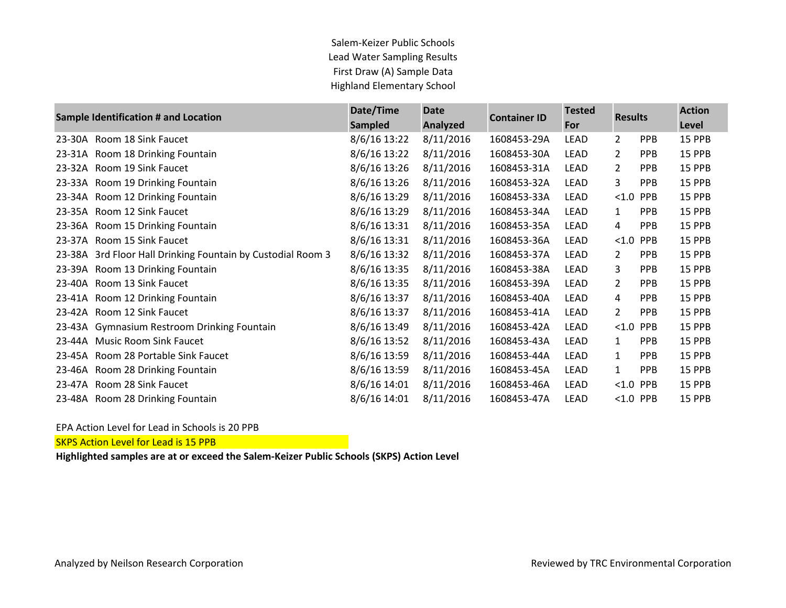## Salem-Keizer Public Schools Lead Water Sampling Results First Draw (A) Sample Data Highland Elementary School

|        | Sample Identification # and Location                 | Date/Time<br><b>Sampled</b> | <b>Date</b><br><b>Analyzed</b> | <b>Container ID</b> | <b>Tested</b><br>For | <b>Results</b> |            | <b>Action</b><br>Level |
|--------|------------------------------------------------------|-----------------------------|--------------------------------|---------------------|----------------------|----------------|------------|------------------------|
| 23-30A | Room 18 Sink Faucet                                  | 8/6/16 13:22                | 8/11/2016                      | 1608453-29A         | LEAD                 | $\overline{2}$ | <b>PPB</b> | 15 PPB                 |
| 23-31A | Room 18 Drinking Fountain                            | 8/6/16 13:22                | 8/11/2016                      | 1608453-30A         | LEAD                 | $\overline{2}$ | <b>PPB</b> | 15 PPB                 |
| 23-32A | Room 19 Sink Faucet                                  | 8/6/16 13:26                | 8/11/2016                      | 1608453-31A         | LEAD                 | $\overline{2}$ | <b>PPB</b> | 15 PPB                 |
| 23-33A | Room 19 Drinking Fountain                            | 8/6/16 13:26                | 8/11/2016                      | 1608453-32A         | <b>LEAD</b>          | 3              | <b>PPB</b> | 15 PPB                 |
|        | 23-34A Room 12 Drinking Fountain                     | 8/6/16 13:29                | 8/11/2016                      | 1608453-33A         | LEAD                 | $< 1.0$ PPB    |            | 15 PPB                 |
| 23-35A | Room 12 Sink Faucet                                  | 8/6/16 13:29                | 8/11/2016                      | 1608453-34A         | LEAD                 | 1              | <b>PPB</b> | 15 PPB                 |
| 23-36A | Room 15 Drinking Fountain                            | 8/6/16 13:31                | 8/11/2016                      | 1608453-35A         | LEAD                 | 4              | <b>PPB</b> | 15 PPB                 |
| 23-37A | Room 15 Sink Faucet                                  | 8/6/16 13:31                | 8/11/2016                      | 1608453-36A         | LEAD                 | $< 1.0$ PPB    |            | 15 PPB                 |
| 23-38A | 3rd Floor Hall Drinking Fountain by Custodial Room 3 | 8/6/16 13:32                | 8/11/2016                      | 1608453-37A         | LEAD                 | $\mathbf{2}$   | <b>PPB</b> | 15 PPB                 |
| 23-39A | Room 13 Drinking Fountain                            | 8/6/16 13:35                | 8/11/2016                      | 1608453-38A         | LEAD                 | 3              | <b>PPB</b> | 15 PPB                 |
| 23-40A | Room 13 Sink Faucet                                  | 8/6/16 13:35                | 8/11/2016                      | 1608453-39A         | LEAD                 | 2              | <b>PPB</b> | 15 PPB                 |
| 23-41A | Room 12 Drinking Fountain                            | 8/6/16 13:37                | 8/11/2016                      | 1608453-40A         | LEAD                 | 4              | <b>PPB</b> | 15 PPB                 |
| 23-42A | Room 12 Sink Faucet                                  | 8/6/16 13:37                | 8/11/2016                      | 1608453-41A         | LEAD                 | 2              | <b>PPB</b> | 15 PPB                 |
| 23-43A | <b>Gymnasium Restroom Drinking Fountain</b>          | 8/6/16 13:49                | 8/11/2016                      | 1608453-42A         | LEAD                 | < 1.0          | <b>PPB</b> | 15 PPB                 |
| 23-44A | <b>Music Room Sink Faucet</b>                        | 8/6/16 13:52                | 8/11/2016                      | 1608453-43A         | <b>LEAD</b>          | $\mathbf{1}$   | <b>PPB</b> | 15 PPB                 |
| 23-45A | Room 28 Portable Sink Faucet                         | 8/6/16 13:59                | 8/11/2016                      | 1608453-44A         | LEAD                 | $\mathbf{1}$   | <b>PPB</b> | 15 PPB                 |
| 23-46A | Room 28 Drinking Fountain                            | 8/6/16 13:59                | 8/11/2016                      | 1608453-45A         | LEAD                 | $\mathbf{1}$   | <b>PPB</b> | 15 PPB                 |
|        | 23-47A Room 28 Sink Faucet                           | 8/6/16 14:01                | 8/11/2016                      | 1608453-46A         | LEAD                 | $< 1.0$ PPB    |            | 15 PPB                 |
|        | 23-48A Room 28 Drinking Fountain                     | 8/6/16 14:01                | 8/11/2016                      | 1608453-47A         | <b>LEAD</b>          | $< 1.0$ PPB    |            | 15 PPB                 |

## EPA Action Level for Lead in Schools is 20 PPB

SKPS Action Level for Lead is 15 PPB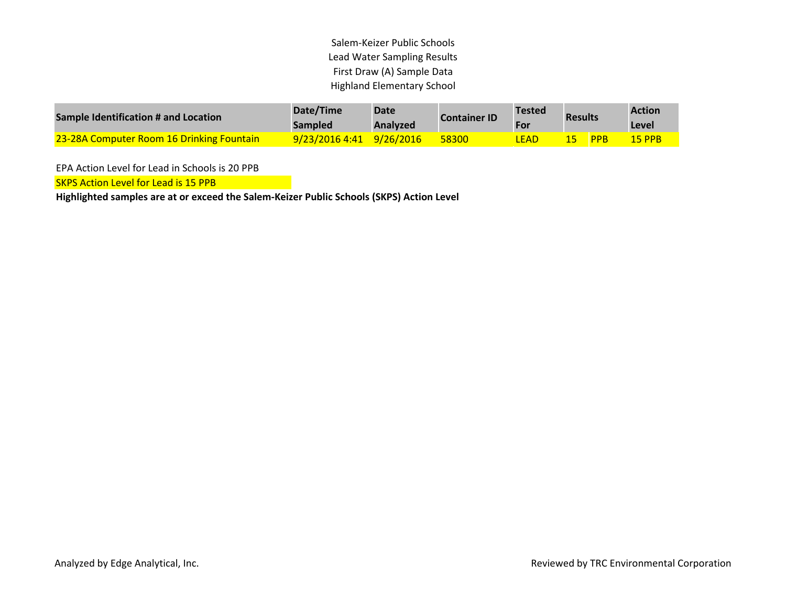Salem-Keizer Public Schools Lead Water Sampling Results First Draw (A) Sample Data Highland Elementary School

| Sample Identification # and Location             | Date/Time<br><b>Sampled</b> | <b>Date</b><br><b>Analyzed</b> | <b>Container ID</b> | Tested<br><b>For</b> | <b>Results</b> |            | <b>Action</b><br>Level |
|--------------------------------------------------|-----------------------------|--------------------------------|---------------------|----------------------|----------------|------------|------------------------|
| <b>23-28A Computer Room 16 Drinking Fountain</b> | $9/23/20164:41$ $9/26/2016$ |                                | 58300               | LEAD                 |                | <b>PPB</b> | $15$ PPB               |

EPA Action Level for Lead in Schools is 20 PPB

**SKPS Action Level for Lead is 15 PPB**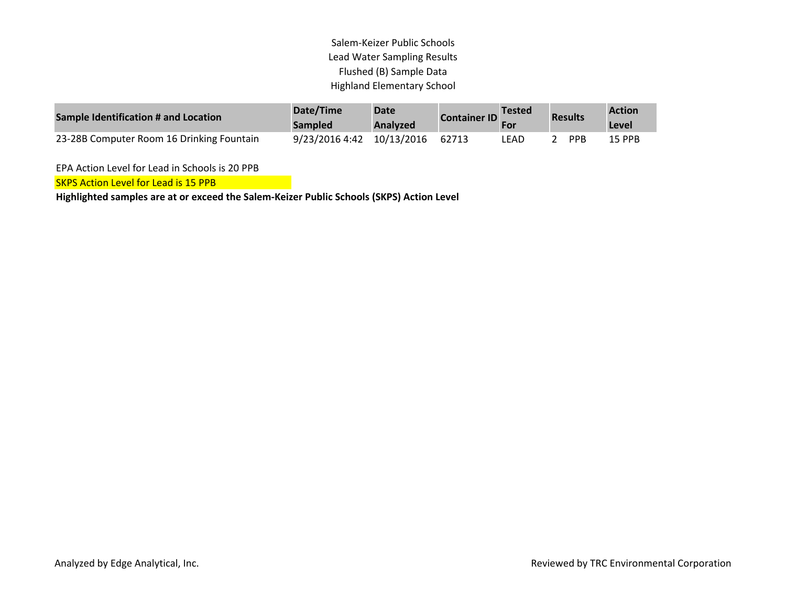## Salem-Keizer Public Schools Lead Water Sampling Results Flushed (B) Sample Data Highland Elementary School

| Sample Identification # and Location      | Date/Time<br><b>Sampled</b> | <b>Date</b><br>Analyzed | <b>Container ID</b> | <b>Tested</b> | <b>Results</b> | <b>Action</b><br>Level |
|-------------------------------------------|-----------------------------|-------------------------|---------------------|---------------|----------------|------------------------|
| 23-28B Computer Room 16 Drinking Fountain | 9/23/2016 4:42 10/13/2016   |                         | 62713               | LEAD          | PPR            | 15 PPB                 |

EPA Action Level for Lead in Schools is 20 PPB

**SKPS Action Level for Lead is 15 PPB**